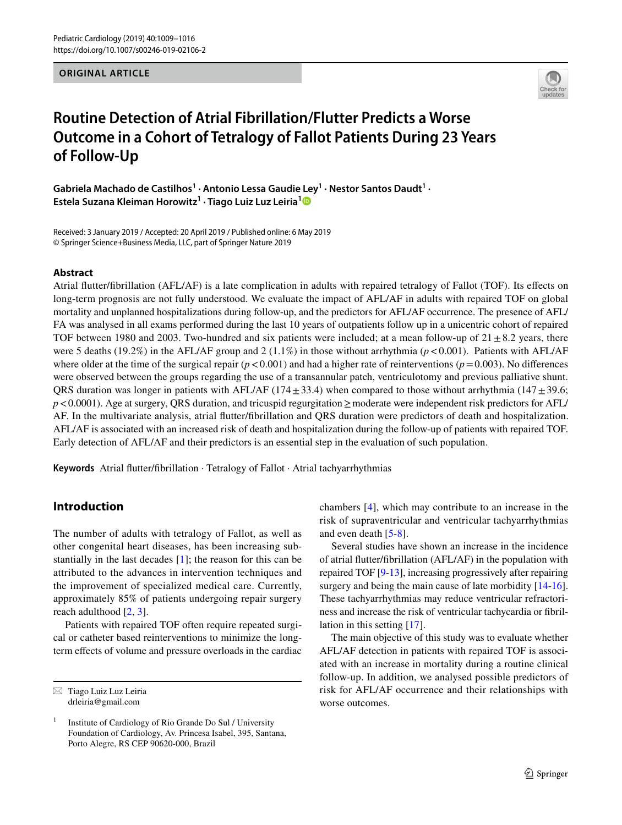**ORIGINAL ARTICLE**



# **Routine Detection of Atrial Fibrillation/Flutter Predicts a Worse Outcome in a Cohort of Tetralogy of Fallot Patients During 23 Years of Follow‑Up**

Gabriela Machado de Castilhos<sup>1</sup> · Antonio Lessa Gaudie Ley<sup>1</sup> · Nestor Santos Daudt<sup>1</sup> · **Estela Suzana Kleiman Horowitz1 · Tiago Luiz Luz Leiria[1](http://orcid.org/0000-0002-5334-0514)**

Received: 3 January 2019 / Accepted: 20 April 2019 / Published online: 6 May 2019 © Springer Science+Business Media, LLC, part of Springer Nature 2019

#### **Abstract**

Atrial futter/fbrillation (AFL/AF) is a late complication in adults with repaired tetralogy of Fallot (TOF). Its efects on long-term prognosis are not fully understood. We evaluate the impact of AFL/AF in adults with repaired TOF on global mortality and unplanned hospitalizations during follow-up, and the predictors for AFL/AF occurrence. The presence of AFL/ FA was analysed in all exams performed during the last 10 years of outpatients follow up in a unicentric cohort of repaired TOF between 1980 and 2003. Two-hundred and six patients were included; at a mean follow-up of  $21 \pm 8.2$  years, there were 5 deaths (19.2%) in the AFL/AF group and 2 (1.1%) in those without arrhythmia (*p*<0.001). Patients with AFL/AF where older at the time of the surgical repair  $(p < 0.001)$  and had a higher rate of reinterventions  $(p = 0.003)$ . No differences were observed between the groups regarding the use of a transannular patch, ventriculotomy and previous palliative shunt. QRS duration was longer in patients with AFL/AF (174 $\pm$ 33.4) when compared to those without arrhythmia (147 $\pm$ 39.6; *p*<0.0001). Age at surgery, QRS duration, and tricuspid regurgitation ≥moderate were independent risk predictors for AFL/ AF. In the multivariate analysis, atrial futter/fbrillation and QRS duration were predictors of death and hospitalization. AFL/AF is associated with an increased risk of death and hospitalization during the follow-up of patients with repaired TOF. Early detection of AFL/AF and their predictors is an essential step in the evaluation of such population.

**Keywords** Atrial futter/fbrillation · Tetralogy of Fallot · Atrial tachyarrhythmias

## **Introduction**

The number of adults with tetralogy of Fallot, as well as other congenital heart diseases, has been increasing substantially in the last decades [[1](#page-7-0)]; the reason for this can be attributed to the advances in intervention techniques and the improvement of specialized medical care. Currently, approximately 85% of patients undergoing repair surgery reach adulthood [[2,](#page-7-1) [3\]](#page-7-2).

Patients with repaired TOF often require repeated surgical or catheter based reinterventions to minimize the longterm efects of volume and pressure overloads in the cardiac

 $\boxtimes$  Tiago Luiz Luz Leiria drleiria@gmail.com

chambers [[4](#page-7-3)], which may contribute to an increase in the risk of supraventricular and ventricular tachyarrhythmias and even death [[5](#page-7-4)[-8\]](#page-7-5).

Several studies have shown an increase in the incidence of atrial futter/fbrillation (AFL/AF) in the population with repaired TOF [[9-](#page-7-6)[13\]](#page-7-7), increasing progressively after repairing surgery and being the main cause of late morbidity [\[14](#page-7-8)[-16](#page-7-9)]. These tachyarrhythmias may reduce ventricular refractoriness and increase the risk of ventricular tachycardia or fbrillation in this setting [[17\]](#page-7-10).

The main objective of this study was to evaluate whether AFL/AF detection in patients with repaired TOF is associated with an increase in mortality during a routine clinical follow-up. In addition, we analysed possible predictors of risk for AFL/AF occurrence and their relationships with worse outcomes.

<sup>1</sup> Institute of Cardiology of Rio Grande Do Sul / University Foundation of Cardiology, Av. Princesa Isabel, 395, Santana, Porto Alegre, RS CEP 90620-000, Brazil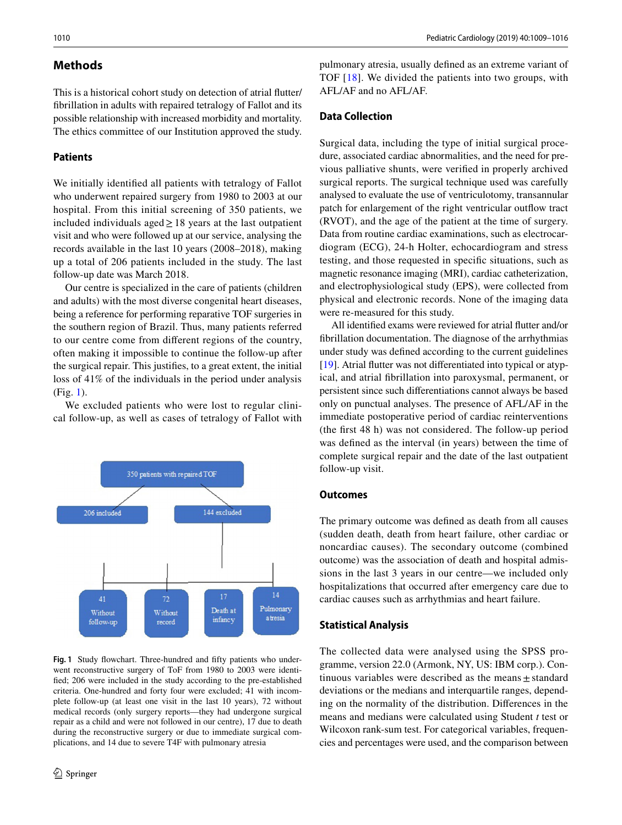## **Methods**

This is a historical cohort study on detection of atrial futter/ fbrillation in adults with repaired tetralogy of Fallot and its possible relationship with increased morbidity and mortality. The ethics committee of our Institution approved the study.

#### **Patients**

We initially identifed all patients with tetralogy of Fallot who underwent repaired surgery from 1980 to 2003 at our hospital. From this initial screening of 350 patients, we included individuals aged≥18 years at the last outpatient visit and who were followed up at our service, analysing the records available in the last 10 years (2008–2018), making up a total of 206 patients included in the study. The last follow-up date was March 2018.

Our centre is specialized in the care of patients (children and adults) with the most diverse congenital heart diseases, being a reference for performing reparative TOF surgeries in the southern region of Brazil. Thus, many patients referred to our centre come from diferent regions of the country, often making it impossible to continue the follow-up after the surgical repair. This justifes, to a great extent, the initial loss of 41% of the individuals in the period under analysis (Fig. [1\)](#page-1-0).

We excluded patients who were lost to regular clinical follow-up, as well as cases of tetralogy of Fallot with



<span id="page-1-0"></span>Fig. 1 Study flowchart. Three-hundred and fifty patients who underwent reconstructive surgery of ToF from 1980 to 2003 were identifed; 206 were included in the study according to the pre-established criteria. One-hundred and forty four were excluded; 41 with incomplete follow-up (at least one visit in the last 10 years), 72 without medical records (only surgery reports—they had undergone surgical repair as a child and were not followed in our centre), 17 due to death during the reconstructive surgery or due to immediate surgical complications, and 14 due to severe T4F with pulmonary atresia

pulmonary atresia, usually defned as an extreme variant of TOF [[18](#page-7-11)]. We divided the patients into two groups, with AFL/AF and no AFL/AF.

## **Data Collection**

Surgical data, including the type of initial surgical procedure, associated cardiac abnormalities, and the need for previous palliative shunts, were verifed in properly archived surgical reports. The surgical technique used was carefully analysed to evaluate the use of ventriculotomy, transannular patch for enlargement of the right ventricular outfow tract (RVOT), and the age of the patient at the time of surgery. Data from routine cardiac examinations, such as electrocardiogram (ECG), 24-h Holter, echocardiogram and stress testing, and those requested in specifc situations, such as magnetic resonance imaging (MRI), cardiac catheterization, and electrophysiological study (EPS), were collected from physical and electronic records. None of the imaging data were re-measured for this study.

All identifed exams were reviewed for atrial futter and/or fbrillation documentation. The diagnose of the arrhythmias under study was defned according to the current guidelines [\[19](#page-7-12)]. Atrial futter was not diferentiated into typical or atypical, and atrial fbrillation into paroxysmal, permanent, or persistent since such diferentiations cannot always be based only on punctual analyses. The presence of AFL/AF in the immediate postoperative period of cardiac reinterventions (the frst 48 h) was not considered. The follow-up period was defned as the interval (in years) between the time of complete surgical repair and the date of the last outpatient follow-up visit.

#### **Outcomes**

The primary outcome was defned as death from all causes (sudden death, death from heart failure, other cardiac or noncardiac causes). The secondary outcome (combined outcome) was the association of death and hospital admissions in the last 3 years in our centre—we included only hospitalizations that occurred after emergency care due to cardiac causes such as arrhythmias and heart failure.

#### **Statistical Analysis**

The collected data were analysed using the SPSS programme, version 22.0 (Armonk, NY, US: IBM corp.). Continuous variables were described as the means $\pm$ standard deviations or the medians and interquartile ranges, depending on the normality of the distribution. Diferences in the means and medians were calculated using Student *t* test or Wilcoxon rank-sum test. For categorical variables, frequencies and percentages were used, and the comparison between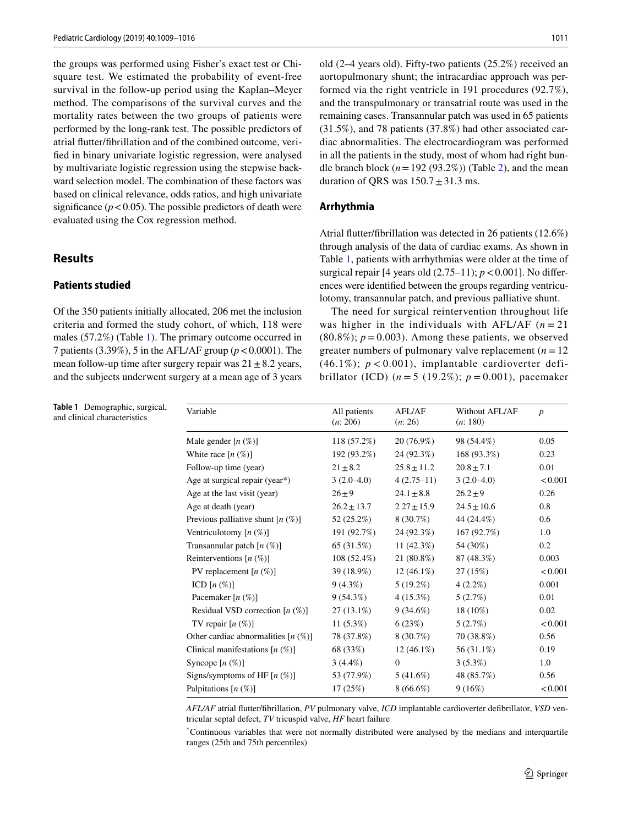the groups was performed using Fisher's exact test or Chisquare test. We estimated the probability of event-free survival in the follow-up period using the Kaplan–Meyer method. The comparisons of the survival curves and the mortality rates between the two groups of patients were performed by the long-rank test. The possible predictors of atrial futter/fbrillation and of the combined outcome, verifed in binary univariate logistic regression, were analysed by multivariate logistic regression using the stepwise backward selection model. The combination of these factors was based on clinical relevance, odds ratios, and high univariate significance  $(p < 0.05)$ . The possible predictors of death were evaluated using the Cox regression method.

## **Results**

## **Patients studied**

Of the 350 patients initially allocated, 206 met the inclusion criteria and formed the study cohort, of which, 118 were males (57.2%) (Table [1\)](#page-2-0). The primary outcome occurred in 7 patients (3.39%), 5 in the AFL/AF group (*p*<0.0001). The mean follow-up time after surgery repair was  $21 \pm 8.2$  years, and the subjects underwent surgery at a mean age of 3 years

<span id="page-2-0"></span>**Table 1** Demographic, surgical, and clinical characteristics

old (2–4 years old). Fifty-two patients (25.2%) received an aortopulmonary shunt; the intracardiac approach was performed via the right ventricle in 191 procedures (92.7%), and the transpulmonary or transatrial route was used in the remaining cases. Transannular patch was used in 65 patients (31.5%), and 78 patients (37.8%) had other associated cardiac abnormalities. The electrocardiogram was performed in all the patients in the study, most of whom had right bundle branch block  $(n=192 (93.2\%)$  (Table [2](#page-3-0)), and the mean duration of QRS was  $150.7 \pm 31.3$  ms.

#### **Arrhythmia**

Atrial futter/fbrillation was detected in 26 patients (12.6%) through analysis of the data of cardiac exams. As shown in Table [1](#page-2-0), patients with arrhythmias were older at the time of surgical repair  $[4 \text{ years old } (2.75-11); p < 0.001]$ . No differences were identifed between the groups regarding ventriculotomy, transannular patch, and previous palliative shunt.

The need for surgical reintervention throughout life was higher in the individuals with AFL/AF  $(n=21)$  $(80.8\%)$ ;  $p = 0.003$ ). Among these patients, we observed greater numbers of pulmonary valve replacement  $(n = 12)$ (46.1%);  $p < 0.001$ ), implantable cardioverter defibrillator (ICD)  $(n = 5 (19.2\%)$ ;  $p = 0.001$ ), pacemaker

| Variable                               | All patients<br>(n: 206) | <b>AFL/AF</b><br>(n: 26) | Without AFL/AF<br>(n: 180) | $\boldsymbol{p}$ |
|----------------------------------------|--------------------------|--------------------------|----------------------------|------------------|
| Male gender $[n \, (\%)]$              | 118 (57.2%)              | 20 (76.9%)               | 98 (54.4%)                 | 0.05             |
| White race $[n \, (\%)]$               | 192 (93.2%)              | 24 (92.3%)               | 168 (93.3%)                | 0.23             |
| Follow-up time (year)                  | $21 \pm 8.2$             | $25.8 \pm 11.2$          | $20.8 \pm 7.1$             | 0.01             |
| Age at surgical repair (year*)         | $3(2.0-4.0)$             | $4(2.75-11)$             | $3(2.0-4.0)$               | < 0.001          |
| Age at the last visit (year)           | $26 \pm 9$               | $24.1 \pm 8.8$           | $26.2 + 9$                 | 0.26             |
| Age at death (year)                    | $26.2 \pm 13.7$          | $227 \pm 15.9$           | $24.5 \pm 10.6$            | 0.8              |
| Previous palliative shunt $[n (\%)]$   | 52 (25.2%)               | 8 (30.7%)                | 44 (24.4%)                 | 0.6              |
| Ventriculotomy $[n (\%)]$              | 191 (92.7%)              | 24 (92.3%)               | 167 (92.7%)                | 1.0              |
| Transannular patch $[n (\%)]$          | 65 (31.5%)               | 11 $(42.3\%)$            | 54 (30%)                   | 0.2              |
| Reinterventions $[n (\%)]$             | $108(52.4\%)$            | 21 (80.8%)               | 87 (48.3%)                 | 0.003            |
| PV replacement $[n (\%)]$              | 39 (18.9%)               | $12(46.1\%)$             | 27(15%)                    | < 0.001          |
| ICD $[n \left( \% \right)]$            | $9(4.3\%)$               | $5(19.2\%)$              | $4(2.2\%)$                 | 0.001            |
| Pacemaker $[n \ (\%)]$                 | 9(54.3%)                 | $4(15.3\%)$              | 5(2.7%)                    | 0.01             |
| Residual VSD correction $[n (\%)]$     | $27(13.1\%)$             | $9(34.6\%)$              | 18 (10%)                   | 0.02             |
| TV repair $[n \ (\%)]$                 | $11(5.3\%)$              | 6(23%)                   | 5(2.7%)                    | < 0.001          |
| Other cardiac abnormalities $[n (\%)]$ | 78 (37.8%)               | 8 (30.7%)                | 70 (38.8%)                 | 0.56             |
| Clinical manifestations $[n (\%)]$     | 68 (33%)                 | $12(46.1\%)$             | 56 (31.1%)                 | 0.19             |
| Syncope $[n \ (\%)]$                   | $3(4.4\%)$               | $\mathbf{0}$             | $3(5.3\%)$                 | 1.0              |
| Signs/symptoms of HF $[n (\%)]$        | 53 (77.9%)               | $5(41.6\%)$              | 48 (85.7%)                 | 0.56             |
| Palpitations $[n (\%)]$                | 17(25%)                  | $8(66.6\%)$              | 9(16%)                     | < 0.001          |

*AFL/AF* atrial futter/fbrillation, *PV* pulmonary valve, *ICD* implantable cardioverter defbrillator, *VSD* ventricular septal defect, *TV* tricuspid valve, *HF* heart failure

\* Continuous variables that were not normally distributed were analysed by the medians and interquartile ranges (25th and 75th percentiles)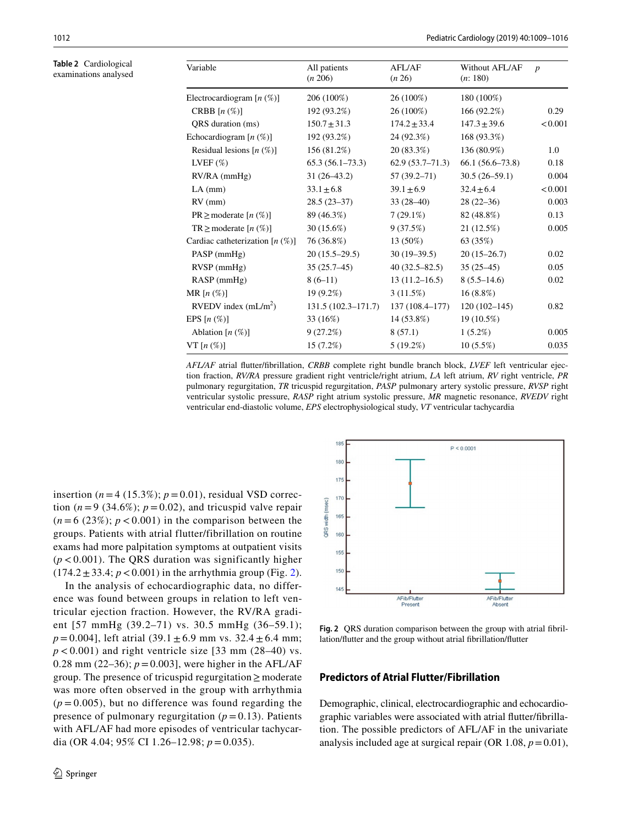<span id="page-3-0"></span>**Table 2** Cardiological examinations analysed

| Variable                           | All patients<br>(n 206) | <b>AFL/AF</b><br>(n 26) | Without AFL/AF<br>(n: 180) | $\boldsymbol{p}$ |
|------------------------------------|-------------------------|-------------------------|----------------------------|------------------|
| Electrocardiogram $[n (\%)]$       | 206 (100%)              | 26 (100%)               | 180 (100%)                 |                  |
| CRBB $[n \left( % \right)]$        | 192 (93.2%)             | 26 (100%)               | 166 (92.2%)                | 0.29             |
| QRS duration (ms)                  | $150.7 \pm 31.3$        | $174.2 \pm 33.4$        | $147.3 \pm 39.6$           | < 0.001          |
| Echocardiogram $[n (\%)]$          | 192 (93.2%)             | 24 (92.3%)              | 168 (93.3%)                |                  |
| Residual lesions $[n (\%)]$        | 156 (81.2%)             | 20 (83.3%)              | 136 (80.9%)                | 1.0              |
| LVEF $(\%)$                        | $65.3(56.1-73.3)$       | $62.9(53.7-71.3)$       | $66.1(56.6-73.8)$          | 0.18             |
| RV/RA (mmHg)                       | $31(26-43.2)$           | $57(39.2 - 71)$         | $30.5(26-59.1)$            | 0.004            |
| $LA$ (mm)                          | $33.1 \pm 6.8$          | $39.1 \pm 6.9$          | $32.4 \pm 6.4$             | < 0.001          |
| $RV$ (mm)                          | $28.5(23-37)$           | $33(28-40)$             | $28(22-36)$                | 0.003            |
| $PR \geq$ moderate $[n (\%)]$      | 89 (46.3%)              | $7(29.1\%)$             | 82 (48.8%)                 | 0.13             |
| $TR \geq$ moderate $[n \ (\%)]$    | $30(15.6\%)$            | 9(37.5%)                | 21 (12.5%)                 | 0.005            |
| Cardiac catheterization $[n (\%)]$ | 76 (36.8%)              | $13(50\%)$              | 63 (35%)                   |                  |
| $PASP$ (mmHg)                      | $20(15.5-29.5)$         | $30(19-39.5)$           | $20(15-26.7)$              | 0.02             |
| $RVSP$ (mmHg)                      | $35(25.7-45)$           | $40(32.5 - 82.5)$       | $35(25-45)$                | 0.05             |
| $RASP$ (mmHg)                      | $8(6-11)$               | $13(11.2 - 16.5)$       | $8(5.5-14.6)$              | 0.02             |
| MR $[n \left( % \right)]$          | $19(9.2\%)$             | $3(11.5\%)$             | $16(8.8\%)$                |                  |
| RVEDV index $(mL/m2)$              | $131.5(102.3 - 171.7)$  | 137 (108.4-177)         | $120(102 - 145)$           | 0.82             |
| EPS $[n \left( % \right)]$         | 33 (16%)                | 14 (53.8%)              | 19 (10.5%)                 |                  |
| Ablation $[n (\%)]$                | 9(27.2%)                | 8(57.1)                 | $1(5.2\%)$                 | 0.005            |
| $VT[n(\%)]$                        | 15(7.2%)                | $5(19.2\%)$             | $10(5.5\%)$                | 0.035            |
|                                    |                         |                         |                            |                  |

*AFL/AF* atrial futter/fbrillation, *CRBB* complete right bundle branch block, *LVEF* left ventricular ejection fraction, *RV/RA* pressure gradient right ventricle/right atrium, *LA* left atrium, *RV* right ventricle, *PR* pulmonary regurgitation, *TR* tricuspid regurgitation, *PASP* pulmonary artery systolic pressure, *RVSP* right ventricular systolic pressure, *RASP* right atrium systolic pressure, *MR* magnetic resonance, *RVEDV* right ventricular end-diastolic volume, *EPS* electrophysiological study, *VT* ventricular tachycardia

insertion  $(n=4 (15.3\%); p=0.01)$ , residual VSD correction  $(n=9$  (34.6%);  $p=0.02$ ), and tricuspid valve repair  $(n=6$  (23%);  $p < 0.001$ ) in the comparison between the groups. Patients with atrial flutter/fibrillation on routine exams had more palpitation symptoms at outpatient visits  $(p < 0.001)$ . The QRS duration was significantly higher  $(174.2 \pm 33.4; p < 0.001)$  in the arrhythmia group (Fig. [2](#page-3-1)).

In the analysis of echocardiographic data, no difference was found between groups in relation to left ventricular ejection fraction. However, the RV/RA gradient [57 mmHg (39.2–71) vs. 30.5 mmHg (36–59.1);  $p = 0.004$ ], left atrial (39.1  $\pm$  6.9 mm vs. 32.4  $\pm$  6.4 mm;  $p < 0.001$ ) and right ventricle size [33 mm (28–40) vs. 0.28 mm (22–36);  $p = 0.003$ , were higher in the AFL/AF group. The presence of tricuspid regurgitation≥ moderate was more often observed in the group with arrhythmia  $(p = 0.005)$ , but no difference was found regarding the presence of pulmonary regurgitation  $(p = 0.13)$ . Patients with AFL/AF had more episodes of ventricular tachycardia (OR 4.04; 95% CI 1.26–12.98; *p* = 0.035).



<span id="page-3-1"></span>**Fig. 2** QRS duration comparison between the group with atrial fbrillation/futter and the group without atrial fbrillation/futter

#### **Predictors of Atrial Flutter/Fibrillation**

Demographic, clinical, electrocardiographic and echocardiographic variables were associated with atrial futter/fbrillation. The possible predictors of AFL/AF in the univariate analysis included age at surgical repair (OR  $1.08, p=0.01$ ),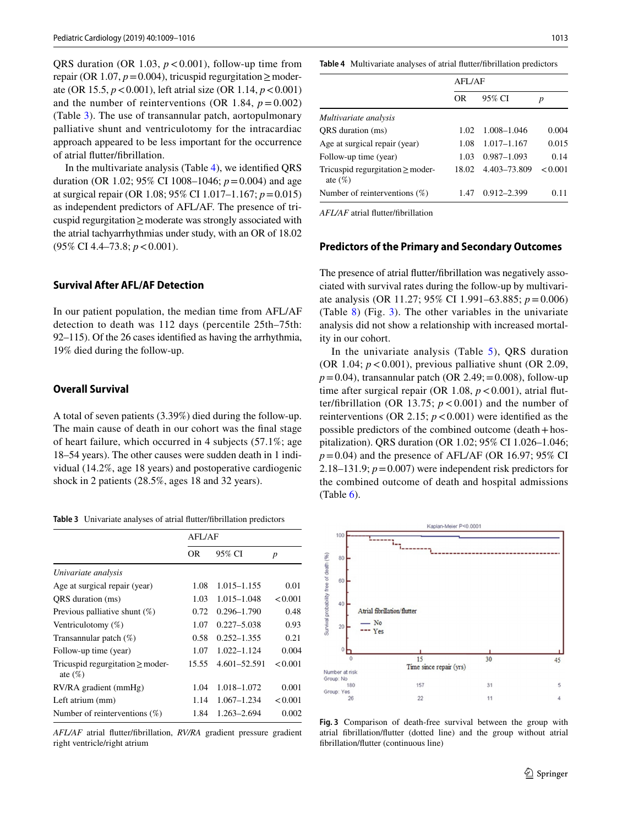QRS duration (OR 1.03,  $p < 0.001$ ), follow-up time from repair (OR 1.07,  $p=0.004$ ), tricuspid regurgitation  $\geq$  moderate (OR 15.5, *p*<0.001), left atrial size (OR 1.14, *p*<0.001) and the number of reinterventions (OR 1.84,  $p = 0.002$ ) (Table [3\)](#page-4-0). The use of transannular patch, aortopulmonary palliative shunt and ventriculotomy for the intracardiac approach appeared to be less important for the occurrence of atrial futter/fbrillation.

In the multivariate analysis (Table [4\)](#page-4-1), we identifed QRS duration (OR 1.02; 95% CI 1008–1046; *p*=0.004) and age at surgical repair (OR 1.08; 95% CI 1.017–1.167; *p*=0.015) as independent predictors of AFL/AF. The presence of tricuspid regurgitation≥moderate was strongly associated with the atrial tachyarrhythmias under study, with an OR of 18.02 (95% CI 4.4–73.8; *p*<0.001).

#### **Survival After AFL/AF Detection**

In our patient population, the median time from AFL/AF detection to death was 112 days (percentile 25th–75th: 92–115). Of the 26 cases identifed as having the arrhythmia, 19% died during the follow-up.

#### **Overall Survival**

A total of seven patients (3.39%) died during the follow-up. The main cause of death in our cohort was the fnal stage of heart failure, which occurred in 4 subjects (57.1%; age 18–54 years). The other causes were sudden death in 1 individual (14.2%, age 18 years) and postoperative cardiogenic shock in 2 patients (28.5%, ages 18 and 32 years).

<span id="page-4-0"></span>**Table 3** Univariate analyses of atrial futter/fbrillation predictors

|                                                     | AFL/AF |                 |                  |
|-----------------------------------------------------|--------|-----------------|------------------|
|                                                     | OR     | 95% CI          | $\boldsymbol{p}$ |
| Univariate analysis                                 |        |                 |                  |
| Age at surgical repair (year)                       | 1.08   | $1.015 - 1.155$ | 0.01             |
| ORS duration (ms)                                   | 1.03   | $1.015 - 1.048$ | < 0.001          |
| Previous palliative shunt $(\%)$                    | 0.72   | $0.296 - 1.790$ | 0.48             |
| Ventriculotomy $(\%)$                               | 1.07   | $0.227 - 5.038$ | 0.93             |
| Transannular patch $(\%)$                           | 0.58   | $0.252 - 1.355$ | 0.21             |
| Follow-up time (year)                               | 1.07   | $1.022 - 1.124$ | 0.004            |
| Tricuspid regurgitation $\geq$ moder-<br>ate $(\%)$ | 15.55  | 4.601-52.591    | < 0.001          |
| RV/RA gradient (mmHg)                               | 1.04   | 1.018-1.072     | 0.001            |
| Left atrium (mm)                                    | 1.14   | $1.067 - 1.234$ | < 0.001          |
| Number of reinterventions $(\%)$                    | 1.84   | 1.263-2.694     | 0.002            |

*AFL/AF* atrial futter/fbrillation, *RV/RA* gradient pressure gradient right ventricle/right atrium

<span id="page-4-1"></span>**Table 4** Multivariate analyses of atrial futter/fbrillation predictors

|                                                     | <b>AFL/AF</b> |                 |         |
|-----------------------------------------------------|---------------|-----------------|---------|
|                                                     | OR            | 95% CI          | p       |
| Multivariate analysis                               |               |                 |         |
| ORS duration (ms)                                   | 1.02          | 1.008-1.046     | 0.004   |
| Age at surgical repair (year)                       | 1.08          | $1.017 - 1.167$ | 0.015   |
| Follow-up time (year)                               | 1.03          | $0.987 - 1.093$ | 0.14    |
| Tricuspid regurgitation $\geq$ moder-<br>ate $(\%)$ | 18.02         | 4.403-73.809    | < 0.001 |
| Number of reinterventions $(\%)$                    | 1.47          | $0.912 - 2.399$ | 0.11    |

*AFL/AF* atrial futter/fbrillation

#### **Predictors of the Primary and Secondary Outcomes**

The presence of atrial futter/fbrillation was negatively associated with survival rates during the follow-up by multivariate analysis (OR 11.27; 95% CI 1.991–63.885; *p*=0.006) (Table [8\)](#page-5-0) (Fig. [3\)](#page-4-2). The other variables in the univariate analysis did not show a relationship with increased mortality in our cohort.

In the univariate analysis (Table  $5$ ), QRS duration (OR 1.04;  $p < 0.001$ ), previous palliative shunt (OR 2.09,  $p = 0.04$ ), transannular patch (OR 2.49; = 0.008), follow-up time after surgical repair (OR 1.08,  $p < 0.001$ ), atrial flutter/fibrillation (OR 13.75;  $p < 0.001$ ) and the number of reinterventions (OR 2.15;  $p < 0.001$ ) were identified as the possible predictors of the combined outcome (death+hospitalization). QRS duration (OR 1.02; 95% CI 1.026–1.046;  $p = 0.04$ ) and the presence of AFL/AF (OR 16.97; 95% CI 2.18–131.9;  $p = 0.007$ ) were independent risk predictors for the combined outcome of death and hospital admissions  $(Table 6)$  $(Table 6)$ .



<span id="page-4-2"></span>**Fig. 3** Comparison of death-free survival between the group with atrial fbrillation/futter (dotted line) and the group without atrial fbrillation/futter (continuous line)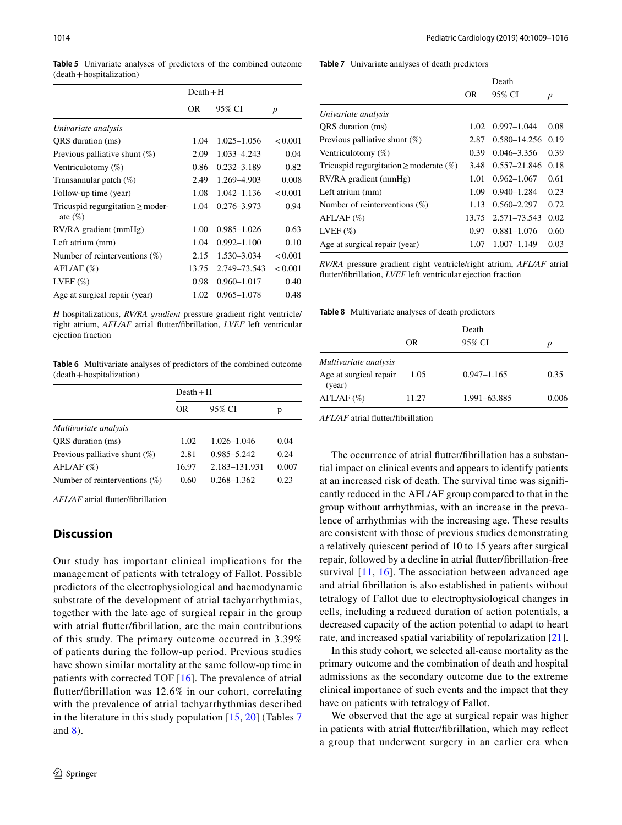|                                                     | $Death + H$ |                 |                  |  |
|-----------------------------------------------------|-------------|-----------------|------------------|--|
|                                                     | <b>OR</b>   | 95% CI          | $\boldsymbol{p}$ |  |
| Univariate analysis                                 |             |                 |                  |  |
| QRS duration (ms)                                   | 1.04        | $1.025 - 1.056$ | < 0.001          |  |
| Previous palliative shunt $(\%)$                    | 2.09        | 1.033-4.243     | 0.04             |  |
| Ventriculotomy $(\%)$                               | 0.86        | $0.232 - 3.189$ | 0.82             |  |
| Transannular patch (%)                              | 2.49        | 1.269-4.903     | 0.008            |  |
| Follow-up time (year)                               | 1.08        | $1.042 - 1.136$ | < 0.001          |  |
| Tricuspid regurgitation $\geq$ moder-<br>ate $(\%)$ | 1.04        | $0.276 - 3.973$ | 0.94             |  |
| RV/RA gradient (mmHg)                               | 1.00        | $0.985 - 1.026$ | 0.63             |  |
| Left atrium (mm)                                    | 1.04        | $0.992 - 1.100$ | 0.10             |  |
| Number of reinterventions $(\%)$                    | 2.15        | 1.530-3.034     | < 0.001          |  |
| $AFL/AF \ (\%)$                                     | 13.75       | 2.749-73.543    | < 0.001          |  |
| LVEF $(\%)$                                         | 0.98        | $0.960 - 1.017$ | 0.40             |  |
| Age at surgical repair (year)                       | 1.02        | $0.965 - 1.078$ | 0.48             |  |

<span id="page-5-1"></span>**Table 5** Univariate analyses of predictors of the combined outcome (death+hospitalization)

*H* hospitalizations, *RV/RA gradient* pressure gradient right ventricle/ right atrium, *AFL/AF* atrial futter/fbrillation, *LVEF* left ventricular ejection fraction

<span id="page-5-2"></span>**Table 6** Multivariate analyses of predictors of the combined outcome (death+hospitalization)

|                                  | $Death + H$ |                 |       |  |
|----------------------------------|-------------|-----------------|-------|--|
|                                  | OR.         | 95% CI          | р     |  |
| Multivariate analysis            |             |                 |       |  |
| ORS duration (ms)                | 1.02        | $1.026 - 1.046$ | 0.04  |  |
| Previous palliative shunt $(\%)$ | 2.81        | 0.985-5.242     | 0.24  |  |
| AFL/AF (%)                       | 16.97       | 2.183-131.931   | 0.007 |  |
| Number of reinterventions $(\%)$ | 0.60        | $0.268 - 1.362$ | 0.23  |  |

*AFL/AF* atrial futter/fbrillation

## **Discussion**

Our study has important clinical implications for the management of patients with tetralogy of Fallot. Possible predictors of the electrophysiological and haemodynamic substrate of the development of atrial tachyarrhythmias, together with the late age of surgical repair in the group with atrial futter/fbrillation, are the main contributions of this study. The primary outcome occurred in 3.39% of patients during the follow-up period. Previous studies have shown similar mortality at the same follow-up time in patients with corrected TOF [[16\]](#page-7-9). The prevalence of atrial futter/fbrillation was 12.6% in our cohort, correlating with the prevalence of atrial tachyarrhythmias described in the literature in this study population [[15,](#page-7-13) [20](#page-7-14)] (Tables [7](#page-5-3) and [8\)](#page-5-0).

<span id="page-5-3"></span>**Table 7** Univariate analyses of death predictors

|                                                |       | Death            |      |
|------------------------------------------------|-------|------------------|------|
|                                                | OR    | 95% CI           | p    |
| Univariate analysis                            |       |                  |      |
| ORS duration (ms)                              | 1.02  | $0.997 - 1.044$  | 0.08 |
| Previous palliative shunt $(\%)$               | 2.87  | 0.580-14.256     | 0.19 |
| Ventriculotomy $(\%)$                          | 0.39  | $0.046 - 3.356$  | 0.39 |
| Tricuspid regurgitation $\geq$ moderate $(\%)$ | 3.48  | $0.557 - 21.846$ | 0.18 |
| $RV/RA$ gradient (mmHg)                        | 1.01  | $0.962 - 1.067$  | 0.61 |
| Left atrium (mm)                               | 1.09  | $0.940 - 1.284$  | 0.23 |
| Number of reinterventions $(\%)$               | 1.13  | $0.560 - 2.297$  | 0.72 |
| AFL/AF (%)                                     | 13.75 | 2.571–73.543     | 0.02 |
| LVEF $(\%)$                                    | 0.97  | $0.881 - 1.076$  | 0.60 |
| Age at surgical repair (year)                  | 1.07  | $1.007 - 1.149$  | 0.03 |

*RV/RA* pressure gradient right ventricle/right atrium, *AFL/AF* atrial futter/fbrillation, *LVEF* left ventricular ejection fraction

<span id="page-5-0"></span>**Table 8** Multivariate analyses of death predictors

|                                  | <b>OR</b> | Death<br>95% CI | p     |
|----------------------------------|-----------|-----------------|-------|
| Multivariate analysis            |           |                 |       |
| Age at surgical repair<br>(year) | 1.05      | $0.947 - 1.165$ | 0.35  |
| AFL/AF (%)                       | 11.27     | 1.991-63.885    | 0.006 |

*AFL/AF* atrial futter/fbrillation

The occurrence of atrial futter/fbrillation has a substantial impact on clinical events and appears to identify patients at an increased risk of death. The survival time was signifcantly reduced in the AFL/AF group compared to that in the group without arrhythmias, with an increase in the prevalence of arrhythmias with the increasing age. These results are consistent with those of previous studies demonstrating a relatively quiescent period of 10 to 15 years after surgical repair, followed by a decline in atrial futter/fbrillation-free survival [\[11,](#page-7-15) [16\]](#page-7-9). The association between advanced age and atrial fbrillation is also established in patients without tetralogy of Fallot due to electrophysiological changes in cells, including a reduced duration of action potentials, a decreased capacity of the action potential to adapt to heart rate, and increased spatial variability of repolarization [\[21](#page-7-16)].

In this study cohort, we selected all-cause mortality as the primary outcome and the combination of death and hospital admissions as the secondary outcome due to the extreme clinical importance of such events and the impact that they have on patients with tetralogy of Fallot.

We observed that the age at surgical repair was higher in patients with atrial futter/fbrillation, which may refect a group that underwent surgery in an earlier era when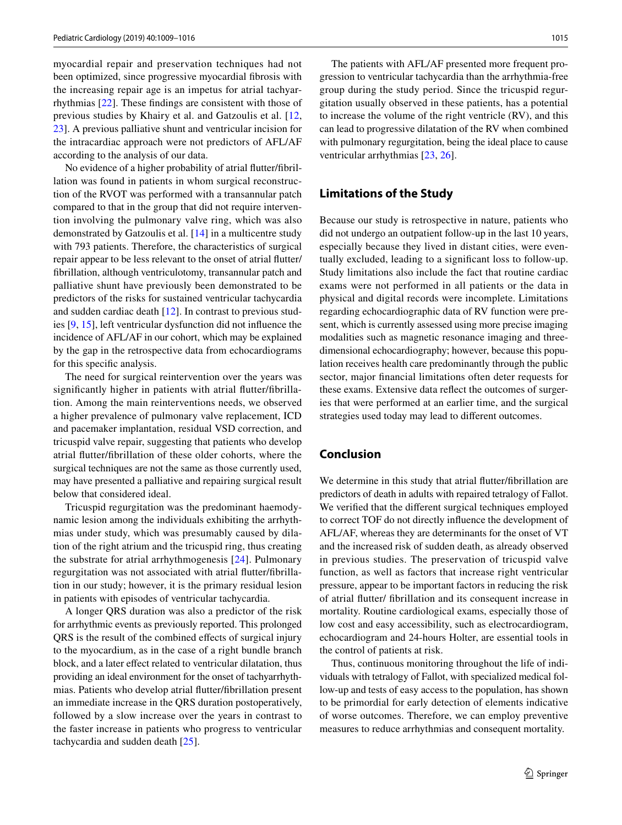myocardial repair and preservation techniques had not been optimized, since progressive myocardial fbrosis with the increasing repair age is an impetus for atrial tachyarrhythmias [\[22](#page-7-17)]. These fndings are consistent with those of previous studies by Khairy et al. and Gatzoulis et al. [\[12,](#page-7-18) [23](#page-7-19)]. A previous palliative shunt and ventricular incision for the intracardiac approach were not predictors of AFL/AF according to the analysis of our data.

No evidence of a higher probability of atrial futter/fbrillation was found in patients in whom surgical reconstruction of the RVOT was performed with a transannular patch compared to that in the group that did not require intervention involving the pulmonary valve ring, which was also demonstrated by Gatzoulis et al. [\[14](#page-7-8)] in a multicentre study with 793 patients. Therefore, the characteristics of surgical repair appear to be less relevant to the onset of atrial futter/ fbrillation, although ventriculotomy, transannular patch and palliative shunt have previously been demonstrated to be predictors of the risks for sustained ventricular tachycardia and sudden cardiac death [\[12](#page-7-18)]. In contrast to previous studies [[9,](#page-7-6) [15\]](#page-7-13), left ventricular dysfunction did not infuence the incidence of AFL/AF in our cohort, which may be explained by the gap in the retrospective data from echocardiograms for this specifc analysis.

The need for surgical reintervention over the years was signifcantly higher in patients with atrial futter/fbrillation. Among the main reinterventions needs, we observed a higher prevalence of pulmonary valve replacement, ICD and pacemaker implantation, residual VSD correction, and tricuspid valve repair, suggesting that patients who develop atrial futter/fbrillation of these older cohorts, where the surgical techniques are not the same as those currently used, may have presented a palliative and repairing surgical result below that considered ideal.

Tricuspid regurgitation was the predominant haemodynamic lesion among the individuals exhibiting the arrhythmias under study, which was presumably caused by dilation of the right atrium and the tricuspid ring, thus creating the substrate for atrial arrhythmogenesis [[24](#page-7-20)]. Pulmonary regurgitation was not associated with atrial futter/fbrillation in our study; however, it is the primary residual lesion in patients with episodes of ventricular tachycardia.

A longer QRS duration was also a predictor of the risk for arrhythmic events as previously reported. This prolonged QRS is the result of the combined efects of surgical injury to the myocardium, as in the case of a right bundle branch block, and a later efect related to ventricular dilatation, thus providing an ideal environment for the onset of tachyarrhythmias. Patients who develop atrial futter/fbrillation present an immediate increase in the QRS duration postoperatively, followed by a slow increase over the years in contrast to the faster increase in patients who progress to ventricular tachycardia and sudden death [[25\]](#page-7-21).

The patients with AFL/AF presented more frequent progression to ventricular tachycardia than the arrhythmia-free group during the study period. Since the tricuspid regurgitation usually observed in these patients, has a potential to increase the volume of the right ventricle (RV), and this can lead to progressive dilatation of the RV when combined with pulmonary regurgitation, being the ideal place to cause ventricular arrhythmias [[23,](#page-7-19) [26\]](#page-7-22).

## **Limitations of the Study**

Because our study is retrospective in nature, patients who did not undergo an outpatient follow-up in the last 10 years, especially because they lived in distant cities, were eventually excluded, leading to a signifcant loss to follow-up. Study limitations also include the fact that routine cardiac exams were not performed in all patients or the data in physical and digital records were incomplete. Limitations regarding echocardiographic data of RV function were present, which is currently assessed using more precise imaging modalities such as magnetic resonance imaging and threedimensional echocardiography; however, because this population receives health care predominantly through the public sector, major fnancial limitations often deter requests for these exams. Extensive data refect the outcomes of surgeries that were performed at an earlier time, and the surgical strategies used today may lead to diferent outcomes.

## **Conclusion**

We determine in this study that atrial flutter/fibrillation are predictors of death in adults with repaired tetralogy of Fallot. We verifed that the diferent surgical techniques employed to correct TOF do not directly infuence the development of AFL/AF, whereas they are determinants for the onset of VT and the increased risk of sudden death, as already observed in previous studies. The preservation of tricuspid valve function, as well as factors that increase right ventricular pressure, appear to be important factors in reducing the risk of atrial futter/ fbrillation and its consequent increase in mortality. Routine cardiological exams, especially those of low cost and easy accessibility, such as electrocardiogram, echocardiogram and 24-hours Holter, are essential tools in the control of patients at risk.

Thus, continuous monitoring throughout the life of individuals with tetralogy of Fallot, with specialized medical follow-up and tests of easy access to the population, has shown to be primordial for early detection of elements indicative of worse outcomes. Therefore, we can employ preventive measures to reduce arrhythmias and consequent mortality.